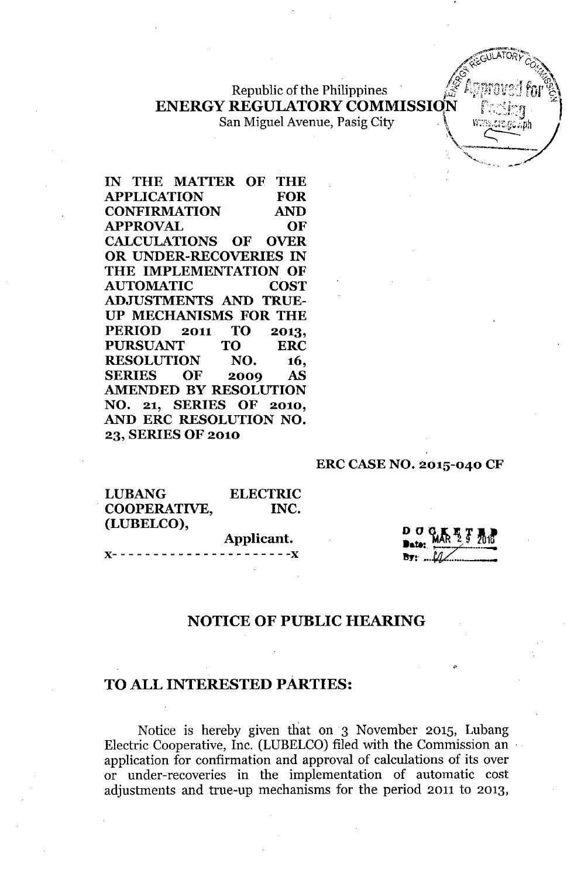Republic of the Philippines **ENERGY REGULATORY COMMISSION** 

San Miguel Avenue, Pasig City

IN THE MATTER OF THE APPLICATION FOR CONFIRMATION AND APPROVAL OF CALCULATIONS OF OVER OR UNDER-RECOVERIES IN THE IMPLEMENTATION OF AUTOMATIC COST ADJUSTMENTS AND TRUE-UP MECHANISMS FOR THE PERIOD 2011 TO 2013, PURSUANT TO ERC RESOLUTION NO. 16, SERIES OF 2009 AS AMENDED BY RESOLUTION NO. 21, SERIES OF 2010, AND ERC RESOLUTION NO. 23, SERIES OF 2010

#### ERC CASE NO. 2015-040 CF

| <b>LUBANG</b> | <b>ELECTRIC</b> |
|---------------|-----------------|
| COOPERATIVE,  | INC.            |
| (LUBELCO),    |                 |
|               | Applicant.      |
|               |                 |

#### NOTICE OF PUBLIC HEARING

#### TO ALL INTERESTED PARTIES:

Notice is hereby given that on 3 November 2015, Lubang Electric Cooperative, Inc. (LUBELCO) filed with the Commission an application for confirmation and approval of calculations of its over or under-recoveries in the implementation of automatic cost adjustments and true-up mechanisms for the period 2011 to 2013,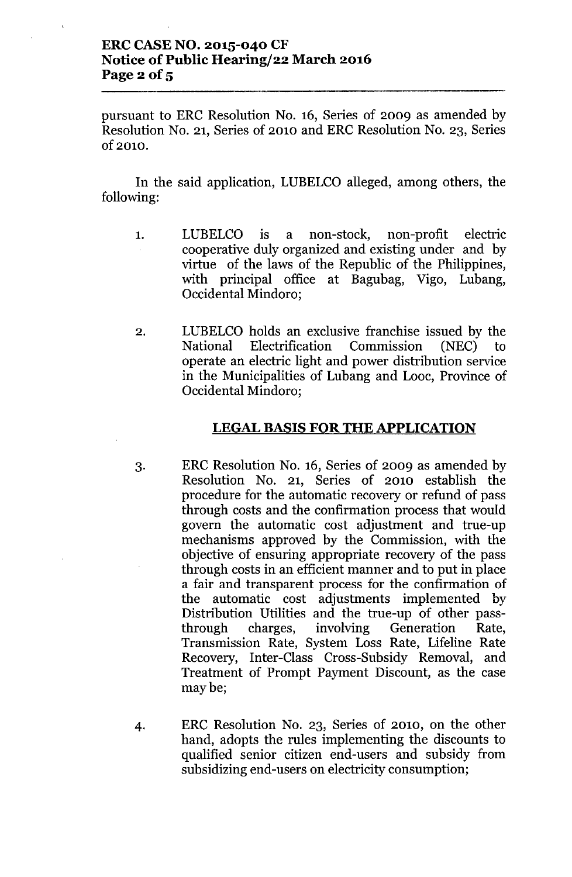## **ERC CASE NO. 2015-040 CF Notice** of Public **Hearing/22 March 2016** Page  $2$  of  $5$

pursuant to ERC Resolution No. 16, Series of 2009 as amended by Resolution No. 21, Series of 2010 and ERC Resolution No. 23, Series Of2010.

In the said application, LUBELCO alleged, among others, the following:

- 1. LUBELCO is a non-stock, non-profit electric cooperative duly organized and existing under and by virtue of the laws of the Republic of the Philippines, with principal office at Bagubag, Vigo, Lubang, Occidental Mindoro;
- 2. LUBELCO holds an exclusive franchise issued by the National Electrification Commission (NEC) to operate an electric light and power distribution service in the Municipalities of Lubang and Looc, Province of Occidental Mindoro;

### **LEGAL BASIS FOR THE APPLICATION**

- 3. ERC Resolution No. 16, Series of 2009 as amended by Resolution No. 21, Series of 2010 establish the procedure for the automatic recovery or refund of pass through costs and the confirmation process that would govern the automatic cost adjustment and true-up mechanisms approved by the Commission, with the objective of ensuring appropriate recovery of the pass through costs in an efficient manner and to put in place a fair and transparent process for the confirmation of the automatic cost adjustments implemented by Distribution Utilities and the true-up of other passthrough charges, involving Generation Rate, Transmission Rate, System Loss Rate, Lifeline Rate Recovery, Inter-Class Cross-Subsidy Removal, and Treatment of Prompt Payment Discount, as the case maybe;
- 4. ERC Resolution No. 23, Series of 2010, on the other hand, adopts the rules implementing the discounts to qualified senior citizen end-users and subsidy from subsidizing end-users on electricity consumption;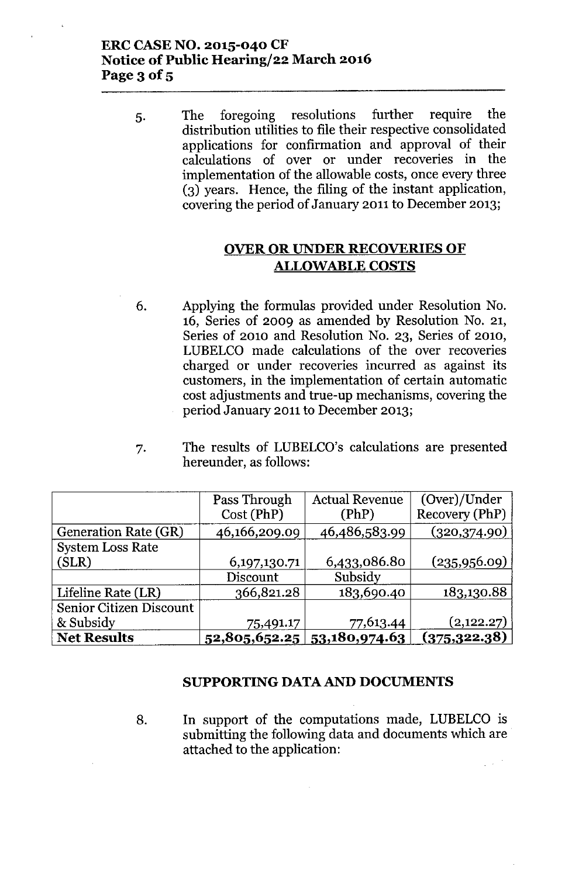## **ERC CASE NO. 2015-040 CF Notice** of Public **Hearing/22 March 2016 Page 3 of 5**

5. The foregoing resolutions further require the distribution utilities to file their respective consolidated applications for confirmation and approval of their calculations of over or under recoveries in the implementation of the allowable costs, once every three (3) years. Hence, the filing of the instant application, covering the period of January 2011 to December 2013;

# **OVER OR UNDER RECOVERIES OF ALLOWABLE COSTS**

- 6. Applying the formulas provided under Resolution No. 16, Series of 2009 as amended by Resolution No. 21, Series of 2010 and Resolution No. 23, Series of 2010, LUBELCO made calculations of the over recoveries charged or under recoveries incurred as against its customers, in the implementation of certain automatic cost adjustments and true-up mechanisms, covering the period January 2011 to December 2013;
- 7. The results of LUBELCO's calculations are presented hereunder, as follows:

|                         | Pass Through    | <b>Actual Revenue</b>         | (Over)/Under   |
|-------------------------|-----------------|-------------------------------|----------------|
|                         | Cost(PhP)       | (PhP)                         | Recovery (PhP) |
| Generation Rate (GR)    | 46,166,209.09   | 46,486,583.99                 | (320,374.90)   |
| <b>System Loss Rate</b> |                 |                               |                |
| (SLR)                   | 6, 197, 130. 71 | 6,433,086.80                  | (235,956.09)   |
|                         | Discount        | Subsidy                       |                |
| Lifeline Rate (LR)      | 366,821.28      | 183,690.40                    | 183,130.88     |
| Senior Citizen Discount |                 |                               |                |
| & Subsidy               | 75,491.17       | 77,613.44                     | (2,122.27)     |
| <b>Net Results</b>      |                 | 52,805,652.25   53,180,974.63 | (375, 322.38)  |

### **SUPPORTING** DATA AND **DOCUMENTS**

8. **In** support of the computations made, LUBELCO is submitting the following data and documents which are attached to the application: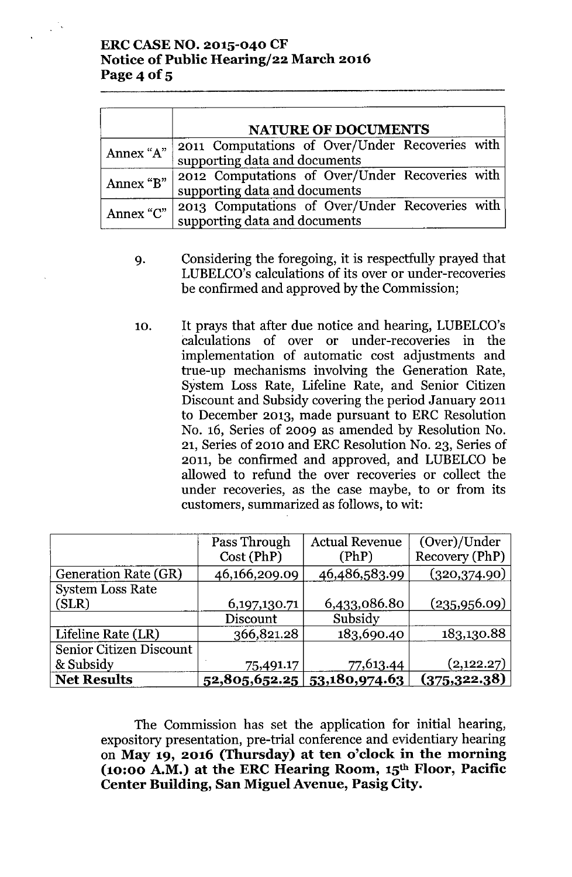# **ERCCASENO. 2015-040 CF Notice** of Public **Hearing/22 March 2016 Page 4 of 5**

|           | <b>NATURE OF DOCUMENTS</b>                                                                 |  |  |  |  |
|-----------|--------------------------------------------------------------------------------------------|--|--|--|--|
|           | Annex "A" 2011 Computations of Over/Under Recoveries with<br>supporting data and documents |  |  |  |  |
| Annex "B" | 2012 Computations of Over/Under Recoveries with<br>supporting data and documents           |  |  |  |  |
| Annex "C" | 2013 Computations of Over/Under Recoveries with<br>supporting data and documents           |  |  |  |  |

- 9. Considering the foregoing, it is respectfully prayed that LUBELCO's calculations of its over or under-recoveries be confirmed and approved by the Commission;
- 10. It prays that after due notice and hearing, LUBELCO's calculations of over or under-recoveries in the implementation of automatic cost adjustments and true-up mechanisms involving the Generation Rate, System Loss Rate, Lifeline Rate, and Senior Citizen Discount and Subsidy covering the period January 2011 to December 2013, made pursuant to ERC Resolution No. 16, Series of 2009 as amended by Resolution No. 21, Series of 2010 and ERC Resolution No. 23, Series of 2011, be confirmed and approved, and LUBELCO be allowed to refund the over recoveries or collect the under recoveries, as the case maybe, to or from its customers, summarized as follows, to wit:

|                             | Pass Through  | <b>Actual Revenue</b>         | (Over)/Under   |
|-----------------------------|---------------|-------------------------------|----------------|
|                             | Cost (PhP)    | (PhP)                         | Recovery (PhP) |
| <b>Generation Rate (GR)</b> | 46,166,209.09 | 46,486,583.99                 | (320, 374.90)  |
| <b>System Loss Rate</b>     |               |                               |                |
| (SLR)                       | 6,197,130.71  | 6,433,086.80                  | (235,956.09)   |
|                             | Discount      | Subsidy                       |                |
| Lifeline Rate (LR)          | 366,821.28    | 183,690.40                    | 183,130.88     |
| Senior Citizen Discount     |               |                               |                |
| & Subsidy                   | 75,491.17     | 77,613.44                     | (2,122.27)     |
| <b>Net Results</b>          |               | $52,805,652.25$ 53,180,974.63 | (375, 322.38)  |

The Commission has set the application for initial hearing, expository presentation, pre-trial conference and evidentiary hearing on **May 19, 2016 (Thursday) at ten o'clock in the morning (10:00 A.M.) at the ERC Hearing Room, 15th Floor, Pacific Center Building, San Miguel Avenue, Pasig City.**